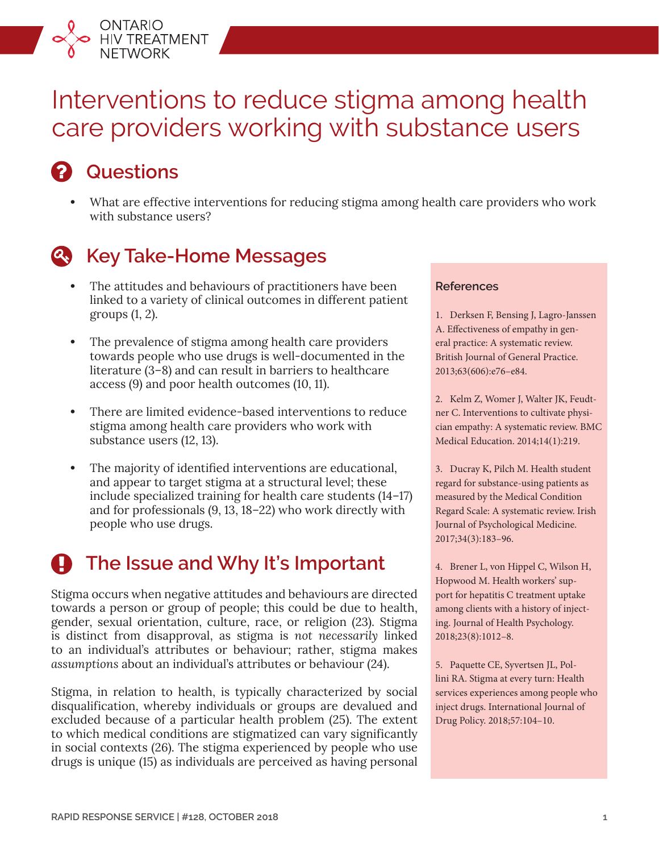# Interventions to reduce stigma among health care providers working with substance users

## **Questions**

ONTARIO<br>HIV TREATMENT<br>NETWORK

**•** What are effective interventions for reducing stigma among health care providers who work with substance users?



### **Key Take-Home Messages**

- **•** The attitudes and behaviours of practitioners have been linked to a variety of clinical outcomes in different patient groups (1, 2).
- **•** The prevalence of stigma among health care providers towards people who use drugs is well-documented in the literature (3–8) and can result in barriers to healthcare access (9) and poor health outcomes (10, 11).
- **•** There are limited evidence-based interventions to reduce stigma among health care providers who work with substance users (12, 13).
- **•** The majority of identified interventions are educational, and appear to target stigma at a structural level; these include specialized training for health care students (14–17) and for professionals (9, 13, 18–22) who work directly with people who use drugs.

## **The Issue and Why It's Important**

Stigma occurs when negative attitudes and behaviours are directed towards a person or group of people; this could be due to health, gender, sexual orientation, culture, race, or religion (23). Stigma is distinct from disapproval, as stigma is *not necessarily* linked to an individual's attributes or behaviour; rather, stigma makes *assumptions* about an individual's attributes or behaviour (24).

Stigma, in relation to health, is typically characterized by social disqualification, whereby individuals or groups are devalued and excluded because of a particular health problem (25). The extent to which medical conditions are stigmatized can vary significantly in social contexts (26). The stigma experienced by people who use drugs is unique (15) as individuals are perceived as having personal

#### **References**

1. Derksen F, Bensing J, Lagro-Janssen A. Effectiveness of empathy in general practice: A systematic review. British Journal of General Practice. 2013;63(606):e76–e84.

2. Kelm Z, Womer J, Walter JK, Feudtner C. Interventions to cultivate physician empathy: A systematic review. BMC Medical Education. 2014;14(1):219.

3. Ducray K, Pilch M. Health student regard for substance-using patients as measured by the Medical Condition Regard Scale: A systematic review. Irish Journal of Psychological Medicine. 2017;34(3):183–96.

4. Brener L, von Hippel C, Wilson H, Hopwood M. Health workers' support for hepatitis C treatment uptake among clients with a history of injecting. Journal of Health Psychology. 2018;23(8):1012–8.

5. Paquette CE, Syvertsen JL, Pollini RA. Stigma at every turn: Health services experiences among people who inject drugs. International Journal of Drug Policy. 2018;57:104–10.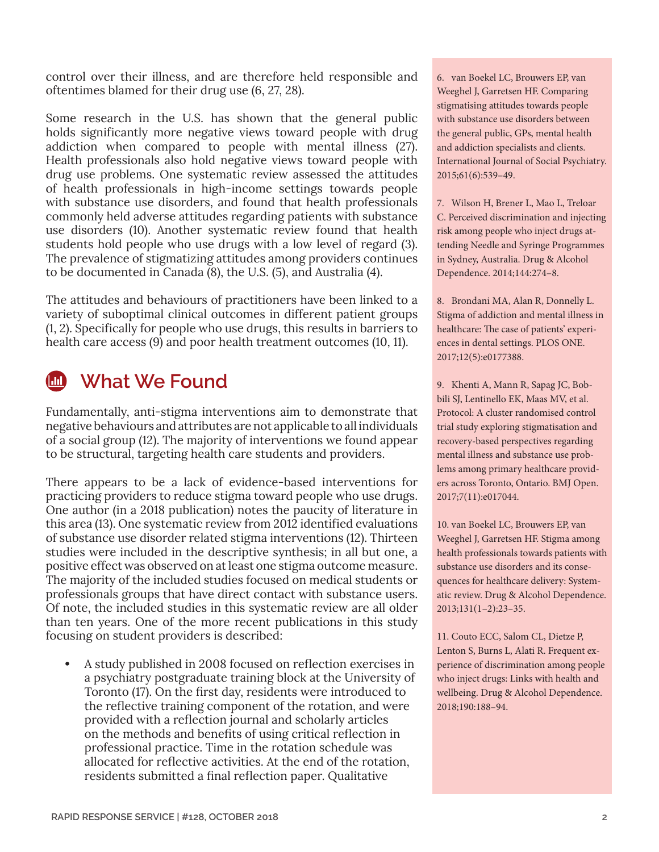control over their illness, and are therefore held responsible and oftentimes blamed for their drug use (6, 27, 28).

Some research in the U.S. has shown that the general public holds significantly more negative views toward people with drug addiction when compared to people with mental illness (27). Health professionals also hold negative views toward people with drug use problems. One systematic review assessed the attitudes of health professionals in high-income settings towards people with substance use disorders, and found that health professionals commonly held adverse attitudes regarding patients with substance use disorders (10). Another systematic review found that health students hold people who use drugs with a low level of regard (3). The prevalence of stigmatizing attitudes among providers continues to be documented in Canada (8), the U.S. (5), and Australia (4).

The attitudes and behaviours of practitioners have been linked to a variety of suboptimal clinical outcomes in different patient groups (1, 2). Specifically for people who use drugs, this results in barriers to health care access (9) and poor health treatment outcomes (10, 11).

## **What We Found**

Fundamentally, anti-stigma interventions aim to demonstrate that negative behaviours and attributes are not applicable to all individuals of a social group (12). The majority of interventions we found appear to be structural, targeting health care students and providers.

There appears to be a lack of evidence-based interventions for practicing providers to reduce stigma toward people who use drugs. One author (in a 2018 publication) notes the paucity of literature in this area (13). One systematic review from 2012 identified evaluations of substance use disorder related stigma interventions (12). Thirteen studies were included in the descriptive synthesis; in all but one, a positive effect was observed on at least one stigma outcome measure. The majority of the included studies focused on medical students or professionals groups that have direct contact with substance users. Of note, the included studies in this systematic review are all older than ten years. One of the more recent publications in this study focusing on student providers is described:

**•** A study published in 2008 focused on reflection exercises in a psychiatry postgraduate training block at the University of Toronto (17). On the first day, residents were introduced to the reflective training component of the rotation, and were provided with a reflection journal and scholarly articles on the methods and benefits of using critical reflection in professional practice. Time in the rotation schedule was allocated for reflective activities. At the end of the rotation, residents submitted a final reflection paper. Qualitative

6. van Boekel LC, Brouwers EP, van Weeghel J, Garretsen HF. Comparing stigmatising attitudes towards people with substance use disorders between the general public, GPs, mental health and addiction specialists and clients. International Journal of Social Psychiatry. 2015;61(6):539–49.

7. Wilson H, Brener L, Mao L, Treloar C. Perceived discrimination and injecting risk among people who inject drugs attending Needle and Syringe Programmes in Sydney, Australia. Drug & Alcohol Dependence. 2014;144:274–8.

8. Brondani MA, Alan R, Donnelly L. Stigma of addiction and mental illness in healthcare: The case of patients' experiences in dental settings. PLOS ONE. 2017;12(5):e0177388.

9. Khenti A, Mann R, Sapag JC, Bobbili SJ, Lentinello EK, Maas MV, et al. Protocol: A cluster randomised control trial study exploring stigmatisation and recovery-based perspectives regarding mental illness and substance use problems among primary healthcare providers across Toronto, Ontario. BMJ Open. 2017;7(11):e017044.

10. van Boekel LC, Brouwers EP, van Weeghel J, Garretsen HF. Stigma among health professionals towards patients with substance use disorders and its consequences for healthcare delivery: Systematic review. Drug & Alcohol Dependence. 2013;131(1–2):23–35.

11. Couto ECC, Salom CL, Dietze P, Lenton S, Burns L, Alati R. Frequent experience of discrimination among people who inject drugs: Links with health and wellbeing. Drug & Alcohol Dependence. 2018;190:188–94.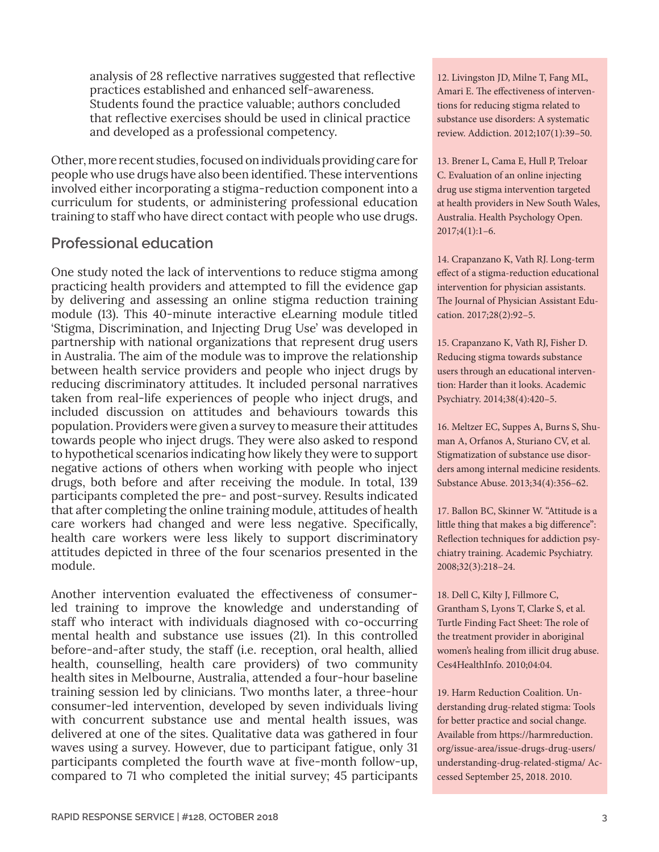analysis of 28 reflective narratives suggested that reflective practices established and enhanced self-awareness. Students found the practice valuable; authors concluded that reflective exercises should be used in clinical practice and developed as a professional competency.

Other, more recent studies, focused on individuals providing care for people who use drugs have also been identified. These interventions involved either incorporating a stigma-reduction component into a curriculum for students, or administering professional education training to staff who have direct contact with people who use drugs.

### **Professional education**

One study noted the lack of interventions to reduce stigma among practicing health providers and attempted to fill the evidence gap by delivering and assessing an online stigma reduction training module (13). This 40-minute interactive eLearning module titled 'Stigma, Discrimination, and Injecting Drug Use' was developed in partnership with national organizations that represent drug users in Australia. The aim of the module was to improve the relationship between health service providers and people who inject drugs by reducing discriminatory attitudes. It included personal narratives taken from real-life experiences of people who inject drugs, and included discussion on attitudes and behaviours towards this population. Providers were given a survey to measure their attitudes towards people who inject drugs. They were also asked to respond to hypothetical scenarios indicating how likely they were to support negative actions of others when working with people who inject drugs, both before and after receiving the module. In total, 139 participants completed the pre- and post-survey. Results indicated that after completing the online training module, attitudes of health care workers had changed and were less negative. Specifically, health care workers were less likely to support discriminatory attitudes depicted in three of the four scenarios presented in the module.

Another intervention evaluated the effectiveness of consumerled training to improve the knowledge and understanding of staff who interact with individuals diagnosed with co-occurring mental health and substance use issues (21). In this controlled before-and-after study, the staff (i.e. reception, oral health, allied health, counselling, health care providers) of two community health sites in Melbourne, Australia, attended a four-hour baseline training session led by clinicians. Two months later, a three-hour consumer-led intervention, developed by seven individuals living with concurrent substance use and mental health issues, was delivered at one of the sites. Qualitative data was gathered in four waves using a survey. However, due to participant fatigue, only 31 participants completed the fourth wave at five-month follow-up, compared to 71 who completed the initial survey; 45 participants

12. Livingston JD, Milne T, Fang ML, Amari E. The effectiveness of interventions for reducing stigma related to substance use disorders: A systematic review. Addiction. 2012;107(1):39–50.

13. Brener L, Cama E, Hull P, Treloar C. Evaluation of an online injecting drug use stigma intervention targeted at health providers in New South Wales, Australia. Health Psychology Open. 2017;4(1):1–6.

14. Crapanzano K, Vath RJ. Long-term effect of a stigma-reduction educational intervention for physician assistants. The Journal of Physician Assistant Education. 2017;28(2):92–5.

15. Crapanzano K, Vath RJ, Fisher D. Reducing stigma towards substance users through an educational intervention: Harder than it looks. Academic Psychiatry. 2014;38(4):420–5.

16. Meltzer EC, Suppes A, Burns S, Shuman A, Orfanos A, Sturiano CV, et al. Stigmatization of substance use disorders among internal medicine residents. Substance Abuse. 2013;34(4):356–62.

17. Ballon BC, Skinner W. "Attitude is a little thing that makes a big difference": Reflection techniques for addiction psychiatry training. Academic Psychiatry. 2008;32(3):218–24.

18. Dell C, Kilty J, Fillmore C, Grantham S, Lyons T, Clarke S, et al. Turtle Finding Fact Sheet: The role of the treatment provider in aboriginal women's healing from illicit drug abuse. Ces4HealthInfo. 2010;04:04.

19. Harm Reduction Coalition. Understanding drug-related stigma: Tools for better practice and social change. Available from [https://harmreduction.](https://harmreduction.org/issue-area/issue-drugs-drug-users/understanding-drug-related-stigma/) [org/issue-area/issue-drugs-drug-users/](https://harmreduction.org/issue-area/issue-drugs-drug-users/understanding-drug-related-stigma/) [understanding-drug-related-stigma/](https://harmreduction.org/issue-area/issue-drugs-drug-users/understanding-drug-related-stigma/) Accessed September 25, 2018. 2010.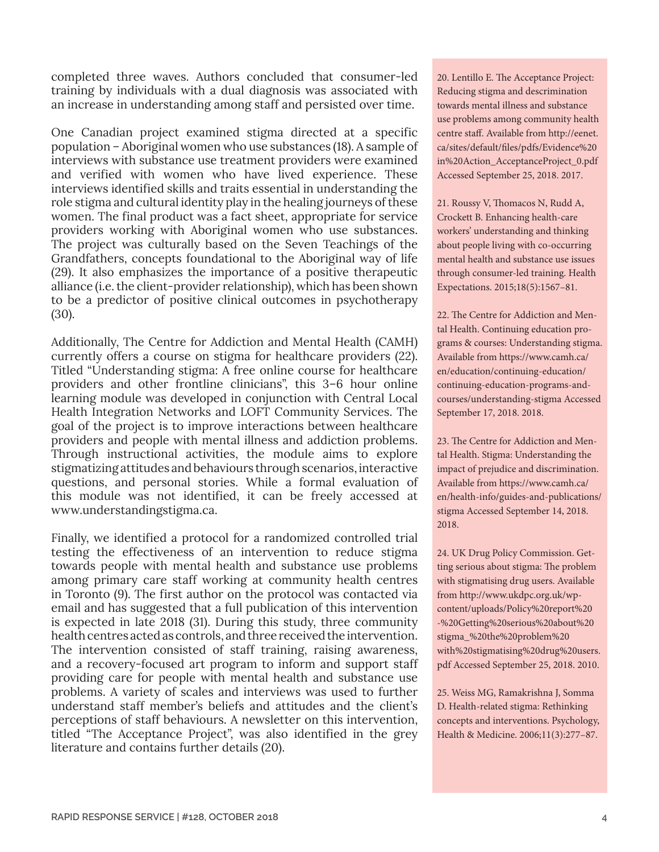completed three waves. Authors concluded that consumer-led training by individuals with a dual diagnosis was associated with an increase in understanding among staff and persisted over time.

One Canadian project examined stigma directed at a specific population – Aboriginal women who use substances (18). A sample of interviews with substance use treatment providers were examined and verified with women who have lived experience. These interviews identified skills and traits essential in understanding the role stigma and cultural identity play in the healing journeys of these women. The final product was a fact sheet, appropriate for service providers working with Aboriginal women who use substances. The project was culturally based on the Seven Teachings of the Grandfathers, concepts foundational to the Aboriginal way of life (29). It also emphasizes the importance of a positive therapeutic alliance (i.e. the client-provider relationship), which has been shown to be a predictor of positive clinical outcomes in psychotherapy (30).

Additionally, The Centre for Addiction and Mental Health (CAMH) currently offers a course on stigma for healthcare providers (22). Titled "Understanding stigma: A free online course for healthcare providers and other frontline clinicians", this 3–6 hour online learning module was developed in conjunction with Central Local Health Integration Networks and LOFT Community Services. The goal of the project is to improve interactions between healthcare providers and people with mental illness and addiction problems. Through instructional activities, the module aims to explore stigmatizing attitudes and behaviours through scenarios, interactive questions, and personal stories. While a formal evaluation of this module was not identified, it can be freely accessed at [www.understandingstigma.ca.](http://www.understandingstigma.ca)

Finally, we identified a protocol for a randomized controlled trial testing the effectiveness of an intervention to reduce stigma towards people with mental health and substance use problems among primary care staff working at community health centres in Toronto (9). The first author on the protocol was contacted via email and has suggested that a full publication of this intervention is expected in late 2018 (31). During this study, three community health centres acted as controls, and three received the intervention. The intervention consisted of staff training, raising awareness, and a recovery-focused art program to inform and support staff providing care for people with mental health and substance use problems. A variety of scales and interviews was used to further understand staff member's beliefs and attitudes and the client's perceptions of staff behaviours. A newsletter on this intervention, titled "The Acceptance Project", was also identified in the grey literature and contains further details (20).

20. Lentillo E. The Acceptance Project: Reducing stigma and descrimination towards mental illness and substance use problems among community health centre staff. Available from [http://eenet.](http://eenet.ca/sites/default/files/pdfs/Evidence%20in%20Action_AcceptanceProject_0.pdf) [ca/sites/default/files/pdfs/Evidence%20](http://eenet.ca/sites/default/files/pdfs/Evidence%20in%20Action_AcceptanceProject_0.pdf) [in%20Action\\_AcceptanceProject\\_0.pdf](http://eenet.ca/sites/default/files/pdfs/Evidence%20in%20Action_AcceptanceProject_0.pdf) Accessed September 25, 2018. 2017.

21. Roussy V, Thomacos N, Rudd A, Crockett B. Enhancing health-care workers' understanding and thinking about people living with co-occurring mental health and substance use issues through consumer-led training. Health Expectations. 2015;18(5):1567–81.

22. The Centre for Addiction and Mental Health. Continuing education programs & courses: Understanding stigma. Available from [https://www.camh.ca/](https://www.camh.ca/en/education/continuing-education/continuing-education-programs-and-courses/understanding-stigma) [en/education/continuing-education/](https://www.camh.ca/en/education/continuing-education/continuing-education-programs-and-courses/understanding-stigma) [continuing-education-programs-and](https://www.camh.ca/en/education/continuing-education/continuing-education-programs-and-courses/understanding-stigma)[courses/understanding-stigma](https://www.camh.ca/en/education/continuing-education/continuing-education-programs-and-courses/understanding-stigma) Accessed September 17, 2018. 2018.

23. The Centre for Addiction and Mental Health. Stigma: Understanding the impact of prejudice and discrimination. Available from [https://www.camh.ca/](https://www.camh.ca/en/health-info/guides-and-publications/stigma) [en/health-info/guides-and-publications/](https://www.camh.ca/en/health-info/guides-and-publications/stigma) [stigma](https://www.camh.ca/en/health-info/guides-and-publications/stigma) Accessed September 14, 2018. 2018.

24. UK Drug Policy Commission. Getting serious about stigma: The problem with stigmatising drug users. Available from [http://www.ukdpc.org.uk/wp](http://www.ukdpc.org.uk/wp-content/uploads/Policy%20report%20-%20Getting%20serious%20about%20stigma_%20the%20problem%20with%20stigmatising%20drug%20users.pdf)[content/uploads/Policy%20report%20](http://www.ukdpc.org.uk/wp-content/uploads/Policy%20report%20-%20Getting%20serious%20about%20stigma_%20the%20problem%20with%20stigmatising%20drug%20users.pdf) [-%20Getting%20serious%20about%20](http://www.ukdpc.org.uk/wp-content/uploads/Policy%20report%20-%20Getting%20serious%20about%20stigma_%20the%20problem%20with%20stigmatising%20drug%20users.pdf) [stigma\\_%20the%20problem%20](http://www.ukdpc.org.uk/wp-content/uploads/Policy%20report%20-%20Getting%20serious%20about%20stigma_%20the%20problem%20with%20stigmatising%20drug%20users.pdf) [with%20stigmatising%20drug%20users.](http://www.ukdpc.org.uk/wp-content/uploads/Policy%20report%20-%20Getting%20serious%20about%20stigma_%20the%20problem%20with%20stigmatising%20drug%20users.pdf) [pdf](http://www.ukdpc.org.uk/wp-content/uploads/Policy%20report%20-%20Getting%20serious%20about%20stigma_%20the%20problem%20with%20stigmatising%20drug%20users.pdf) Accessed September 25, 2018. 2010.

25. Weiss MG, Ramakrishna J, Somma D. Health-related stigma: Rethinking concepts and interventions. Psychology, Health & Medicine. 2006;11(3):277–87.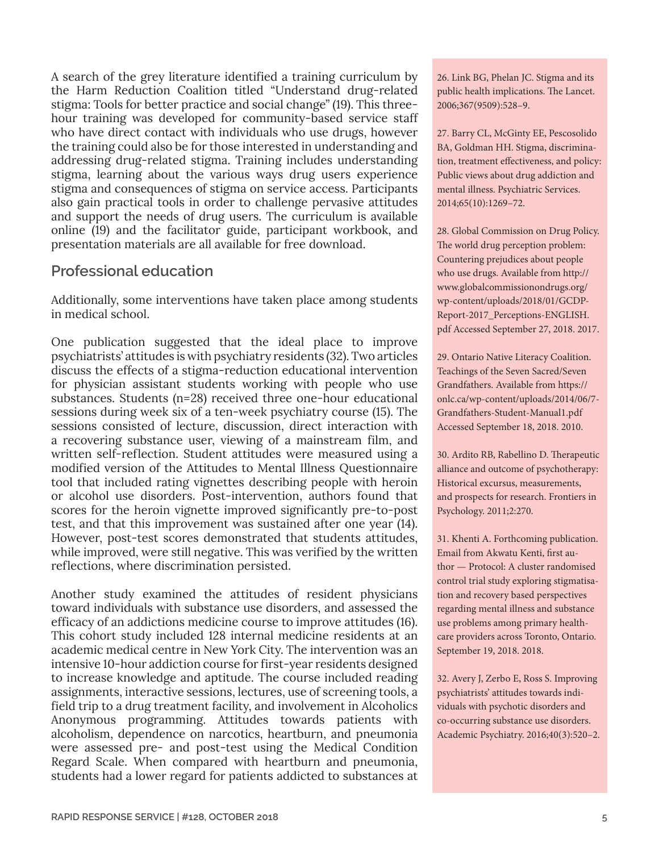A search of the grey literature identified a training curriculum by the Harm Reduction Coalition titled "Understand drug-related stigma: Tools for better practice and social change" (19). This threehour training was developed for community-based service staff who have direct contact with individuals who use drugs, however the training could also be for those interested in understanding and addressing drug-related stigma. Training includes understanding stigma, learning about the various ways drug users experience stigma and consequences of stigma on service access. Participants also gain practical tools in order to challenge pervasive attitudes and support the needs of drug users. The curriculum is available online (19) and the facilitator guide, participant workbook, and presentation materials are all available for free download.

### **Professional education**

Additionally, some interventions have taken place among students in medical school.

One publication suggested that the ideal place to improve psychiatrists' attitudes is with psychiatry residents (32). Two articles discuss the effects of a stigma-reduction educational intervention for physician assistant students working with people who use substances. Students (n=28) received three one-hour educational sessions during week six of a ten-week psychiatry course (15). The sessions consisted of lecture, discussion, direct interaction with a recovering substance user, viewing of a mainstream film, and written self-reflection. Student attitudes were measured using a modified version of the Attitudes to Mental Illness Questionnaire tool that included rating vignettes describing people with heroin or alcohol use disorders. Post-intervention, authors found that scores for the heroin vignette improved significantly pre-to-post test, and that this improvement was sustained after one year (14). However, post-test scores demonstrated that students attitudes, while improved, were still negative. This was verified by the written reflections, where discrimination persisted.

Another study examined the attitudes of resident physicians toward individuals with substance use disorders, and assessed the efficacy of an addictions medicine course to improve attitudes (16). This cohort study included 128 internal medicine residents at an academic medical centre in New York City. The intervention was an intensive 10-hour addiction course for first-year residents designed to increase knowledge and aptitude. The course included reading assignments, interactive sessions, lectures, use of screening tools, a field trip to a drug treatment facility, and involvement in Alcoholics Anonymous programming. Attitudes towards patients with alcoholism, dependence on narcotics, heartburn, and pneumonia were assessed pre- and post-test using the Medical Condition Regard Scale. When compared with heartburn and pneumonia, students had a lower regard for patients addicted to substances at

26. Link BG, Phelan JC. Stigma and its public health implications. The Lancet. 2006;367(9509):528–9.

27. Barry CL, McGinty EE, Pescosolido BA, Goldman HH. Stigma, discrimination, treatment effectiveness, and policy: Public views about drug addiction and mental illness. Psychiatric Services. 2014;65(10):1269–72.

28. Global Commission on Drug Policy. The world drug perception problem: Countering prejudices about people who use drugs. Available from [http://](http://www.globalcommissionondrugs.org/wp-content/uploads/2018/01/GCDP-Report-2017_Perceptions-ENGLISH.pdf) [www.globalcommissionondrugs.org/](http://www.globalcommissionondrugs.org/wp-content/uploads/2018/01/GCDP-Report-2017_Perceptions-ENGLISH.pdf) [wp-content/uploads/2018/01/GCDP-](http://www.globalcommissionondrugs.org/wp-content/uploads/2018/01/GCDP-Report-2017_Perceptions-ENGLISH.pdf)[Report-2017\\_Perceptions-ENGLISH.](http://www.globalcommissionondrugs.org/wp-content/uploads/2018/01/GCDP-Report-2017_Perceptions-ENGLISH.pdf) [pdf](http://www.globalcommissionondrugs.org/wp-content/uploads/2018/01/GCDP-Report-2017_Perceptions-ENGLISH.pdf) Accessed September 27, 2018. 2017.

29. Ontario Native Literacy Coalition. Teachings of the Seven Sacred/Seven Grandfathers. Available from [https://](https://onlc.ca/wp-content/uploads/2014/06/7-Grandfathers-Student-Manual1.pdf) [onlc.ca/wp-content/uploads/2014/06/7-](https://onlc.ca/wp-content/uploads/2014/06/7-Grandfathers-Student-Manual1.pdf) [Grandfathers-Student-Manual1.pdf](https://onlc.ca/wp-content/uploads/2014/06/7-Grandfathers-Student-Manual1.pdf) Accessed September 18, 2018. 2010.

30. Ardito RB, Rabellino D. Therapeutic alliance and outcome of psychotherapy: Historical excursus, measurements, and prospects for research. Frontiers in Psychology. 2011;2:270.

31. Khenti A. Forthcoming publication. Email from Akwatu Kenti, first author — Protocol: A cluster randomised control trial study exploring stigmatisation and recovery based perspectives regarding mental illness and substance use problems among primary healthcare providers across Toronto, Ontario. September 19, 2018. 2018.

32. Avery J, Zerbo E, Ross S. Improving psychiatrists' attitudes towards individuals with psychotic disorders and co-occurring substance use disorders. Academic Psychiatry. 2016;40(3):520–2.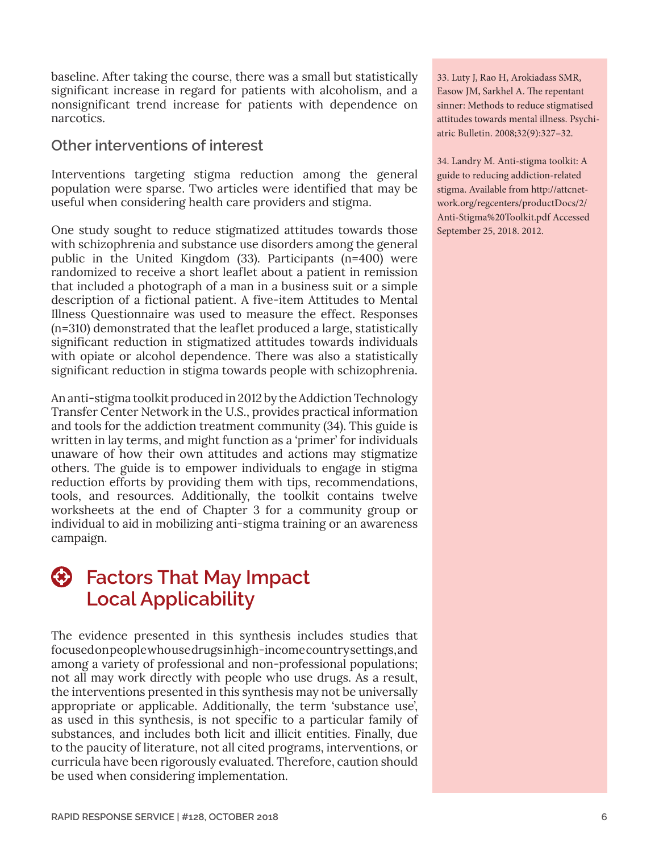baseline. After taking the course, there was a small but statistically significant increase in regard for patients with alcoholism, and a nonsignificant trend increase for patients with dependence on narcotics.

### **Other interventions of interest**

Interventions targeting stigma reduction among the general population were sparse. Two articles were identified that may be useful when considering health care providers and stigma.

One study sought to reduce stigmatized attitudes towards those with schizophrenia and substance use disorders among the general public in the United Kingdom (33). Participants (n=400) were randomized to receive a short leaflet about a patient in remission that included a photograph of a man in a business suit or a simple description of a fictional patient. A five-item Attitudes to Mental Illness Questionnaire was used to measure the effect. Responses (n=310) demonstrated that the leaflet produced a large, statistically significant reduction in stigmatized attitudes towards individuals with opiate or alcohol dependence. There was also a statistically significant reduction in stigma towards people with schizophrenia.

An anti-stigma toolkit produced in 2012 by the Addiction Technology Transfer Center Network in the U.S., provides practical information and tools for the addiction treatment community (34). This guide is written in lay terms, and might function as a 'primer' for individuals unaware of how their own attitudes and actions may stigmatize others. The guide is to empower individuals to engage in stigma reduction efforts by providing them with tips, recommendations, tools, and resources. Additionally, the toolkit contains twelve worksheets at the end of Chapter 3 for a community group or individual to aid in mobilizing anti-stigma training or an awareness campaign.



### **Factors That May Impact Local Applicability**

The evidence presented in this synthesis includes studies that focused on people who use drugs in high-income country settings, and among a variety of professional and non-professional populations; not all may work directly with people who use drugs. As a result, the interventions presented in this synthesis may not be universally appropriate or applicable. Additionally, the term 'substance use', as used in this synthesis, is not specific to a particular family of substances, and includes both licit and illicit entities. Finally, due to the paucity of literature, not all cited programs, interventions, or curricula have been rigorously evaluated. Therefore, caution should be used when considering implementation.

33. Luty J, Rao H, Arokiadass SMR, Easow JM, Sarkhel A. The repentant sinner: Methods to reduce stigmatised attitudes towards mental illness. Psychiatric Bulletin. 2008;32(9):327–32.

34. Landry M. Anti-stigma toolkit: A guide to reducing addiction-related stigma. Available from [http://attcnet](http://attcnetwork.org/regcenters/productDocs/2/Anti-Stigma%20Toolkit.pdf)[work.org/regcenters/productDocs/2/](http://attcnetwork.org/regcenters/productDocs/2/Anti-Stigma%20Toolkit.pdf) [Anti-Stigma%20Toolkit.pdf](http://attcnetwork.org/regcenters/productDocs/2/Anti-Stigma%20Toolkit.pdf) Accessed September 25, 2018. 2012.